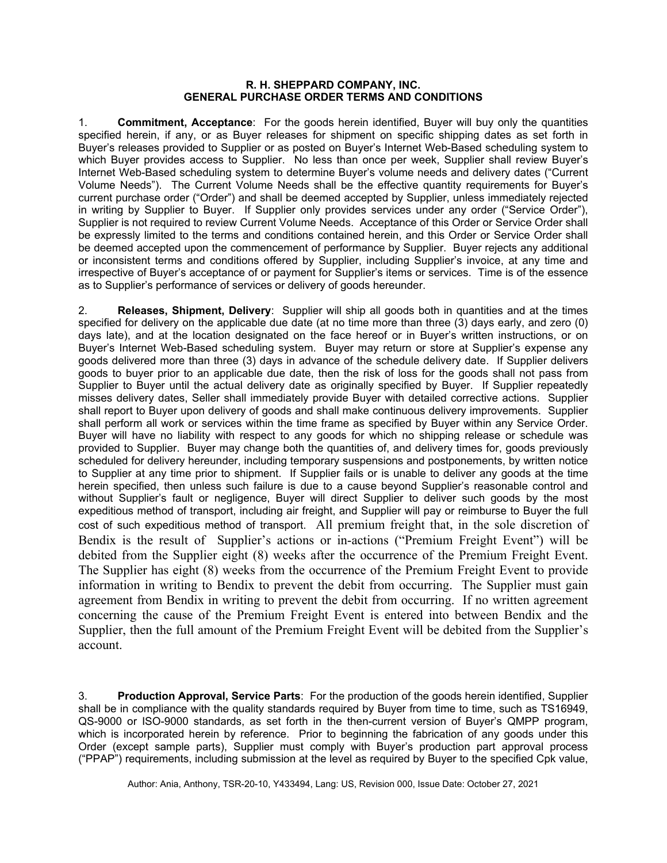## **R. H. SHEPPARD COMPANY, INC. GENERAL PURCHASE ORDER TERMS AND CONDITIONS**

1. **Commitment, Acceptance**: For the goods herein identified, Buyer will buy only the quantities specified herein, if any, or as Buyer releases for shipment on specific shipping dates as set forth in Buyer's releases provided to Supplier or as posted on Buyer's Internet Web-Based scheduling system to which Buyer provides access to Supplier. No less than once per week, Supplier shall review Buyer's Internet Web-Based scheduling system to determine Buyer's volume needs and delivery dates ("Current Volume Needs"). The Current Volume Needs shall be the effective quantity requirements for Buyer's current purchase order ("Order") and shall be deemed accepted by Supplier, unless immediately rejected in writing by Supplier to Buyer. If Supplier only provides services under any order ("Service Order"), Supplier is not required to review Current Volume Needs. Acceptance of this Order or Service Order shall be expressly limited to the terms and conditions contained herein, and this Order or Service Order shall be deemed accepted upon the commencement of performance by Supplier. Buyer rejects any additional or inconsistent terms and conditions offered by Supplier, including Supplier's invoice, at any time and irrespective of Buyer's acceptance of or payment for Supplier's items or services. Time is of the essence as to Supplier's performance of services or delivery of goods hereunder.

2. **Releases, Shipment, Delivery**: Supplier will ship all goods both in quantities and at the times specified for delivery on the applicable due date (at no time more than three (3) days early, and zero (0) days late), and at the location designated on the face hereof or in Buyer's written instructions, or on Buyer's Internet Web-Based scheduling system. Buyer may return or store at Supplier's expense any goods delivered more than three (3) days in advance of the schedule delivery date. If Supplier delivers goods to buyer prior to an applicable due date, then the risk of loss for the goods shall not pass from Supplier to Buyer until the actual delivery date as originally specified by Buyer. If Supplier repeatedly misses delivery dates, Seller shall immediately provide Buyer with detailed corrective actions. Supplier shall report to Buyer upon delivery of goods and shall make continuous delivery improvements. Supplier shall perform all work or services within the time frame as specified by Buyer within any Service Order. Buyer will have no liability with respect to any goods for which no shipping release or schedule was provided to Supplier. Buyer may change both the quantities of, and delivery times for, goods previously scheduled for delivery hereunder, including temporary suspensions and postponements, by written notice to Supplier at any time prior to shipment. If Supplier fails or is unable to deliver any goods at the time herein specified, then unless such failure is due to a cause beyond Supplier's reasonable control and without Supplier's fault or negligence, Buyer will direct Supplier to deliver such goods by the most expeditious method of transport, including air freight, and Supplier will pay or reimburse to Buyer the full cost of such expeditious method of transport. All premium freight that, in the sole discretion of Bendix is the result of Supplier's actions or in-actions ("Premium Freight Event") will be debited from the Supplier eight (8) weeks after the occurrence of the Premium Freight Event. The Supplier has eight (8) weeks from the occurrence of the Premium Freight Event to provide information in writing to Bendix to prevent the debit from occurring. The Supplier must gain agreement from Bendix in writing to prevent the debit from occurring. If no written agreement concerning the cause of the Premium Freight Event is entered into between Bendix and the Supplier, then the full amount of the Premium Freight Event will be debited from the Supplier's account.

3. **Production Approval, Service Parts**: For the production of the goods herein identified, Supplier shall be in compliance with the quality standards required by Buyer from time to time, such as TS16949, QS-9000 or ISO-9000 standards, as set forth in the then-current version of Buyer's QMPP program, which is incorporated herein by reference. Prior to beginning the fabrication of any goods under this Order (except sample parts), Supplier must comply with Buyer's production part approval process ("PPAP") requirements, including submission at the level as required by Buyer to the specified Cpk value,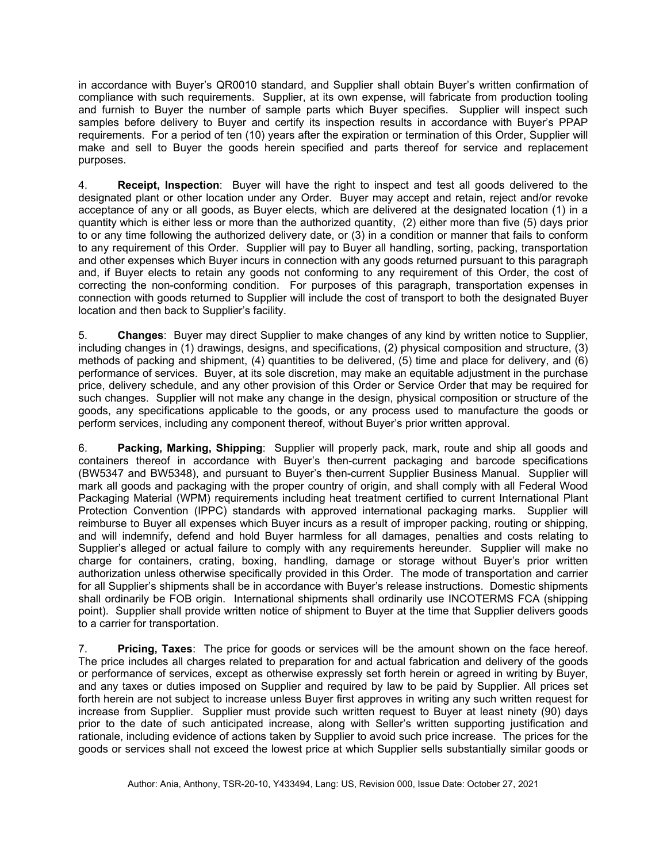in accordance with Buyer's QR0010 standard, and Supplier shall obtain Buyer's written confirmation of compliance with such requirements. Supplier, at its own expense, will fabricate from production tooling and furnish to Buyer the number of sample parts which Buyer specifies. Supplier will inspect such samples before delivery to Buyer and certify its inspection results in accordance with Buyer's PPAP requirements. For a period of ten (10) years after the expiration or termination of this Order, Supplier will make and sell to Buyer the goods herein specified and parts thereof for service and replacement purposes.

4. **Receipt, Inspection**: Buyer will have the right to inspect and test all goods delivered to the designated plant or other location under any Order. Buyer may accept and retain, reject and/or revoke acceptance of any or all goods, as Buyer elects, which are delivered at the designated location (1) in a quantity which is either less or more than the authorized quantity, (2) either more than five (5) days prior to or any time following the authorized delivery date, or (3) in a condition or manner that fails to conform to any requirement of this Order. Supplier will pay to Buyer all handling, sorting, packing, transportation and other expenses which Buyer incurs in connection with any goods returned pursuant to this paragraph and, if Buyer elects to retain any goods not conforming to any requirement of this Order, the cost of correcting the non-conforming condition. For purposes of this paragraph, transportation expenses in connection with goods returned to Supplier will include the cost of transport to both the designated Buyer location and then back to Supplier's facility.

5. **Changes**: Buyer may direct Supplier to make changes of any kind by written notice to Supplier, including changes in (1) drawings, designs, and specifications, (2) physical composition and structure, (3) methods of packing and shipment, (4) quantities to be delivered, (5) time and place for delivery, and (6) performance of services. Buyer, at its sole discretion, may make an equitable adjustment in the purchase price, delivery schedule, and any other provision of this Order or Service Order that may be required for such changes. Supplier will not make any change in the design, physical composition or structure of the goods, any specifications applicable to the goods, or any process used to manufacture the goods or perform services, including any component thereof, without Buyer's prior written approval.

6. **Packing, Marking, Shipping**: Supplier will properly pack, mark, route and ship all goods and containers thereof in accordance with Buyer's then-current packaging and barcode specifications (BW5347 and BW5348), and pursuant to Buyer's then-current Supplier Business Manual. Supplier will mark all goods and packaging with the proper country of origin, and shall comply with all Federal Wood Packaging Material (WPM) requirements including heat treatment certified to current International Plant Protection Convention (IPPC) standards with approved international packaging marks. Supplier will reimburse to Buyer all expenses which Buyer incurs as a result of improper packing, routing or shipping, and will indemnify, defend and hold Buyer harmless for all damages, penalties and costs relating to Supplier's alleged or actual failure to comply with any requirements hereunder. Supplier will make no charge for containers, crating, boxing, handling, damage or storage without Buyer's prior written authorization unless otherwise specifically provided in this Order. The mode of transportation and carrier for all Supplier's shipments shall be in accordance with Buyer's release instructions. Domestic shipments shall ordinarily be FOB origin. International shipments shall ordinarily use INCOTERMS FCA (shipping point). Supplier shall provide written notice of shipment to Buyer at the time that Supplier delivers goods to a carrier for transportation.

7. **Pricing, Taxes**: The price for goods or services will be the amount shown on the face hereof. The price includes all charges related to preparation for and actual fabrication and delivery of the goods or performance of services, except as otherwise expressly set forth herein or agreed in writing by Buyer, and any taxes or duties imposed on Supplier and required by law to be paid by Supplier. All prices set forth herein are not subject to increase unless Buyer first approves in writing any such written request for increase from Supplier. Supplier must provide such written request to Buyer at least ninety (90) days prior to the date of such anticipated increase, along with Seller's written supporting justification and rationale, including evidence of actions taken by Supplier to avoid such price increase. The prices for the goods or services shall not exceed the lowest price at which Supplier sells substantially similar goods or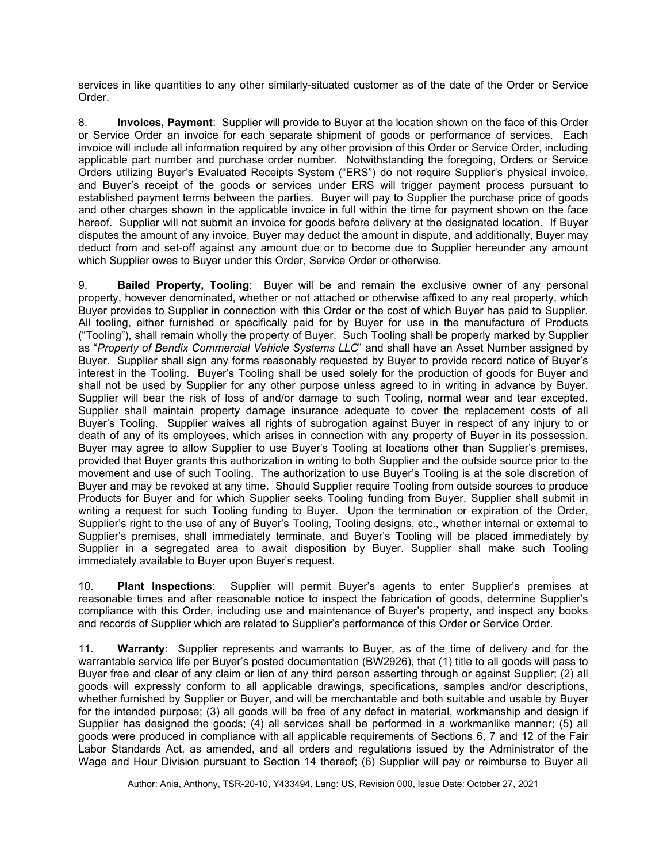services in like quantities to any other similarly-situated customer as of the date of the Order or Service Order.

8. **Invoices, Payment**: Supplier will provide to Buyer at the location shown on the face of this Order or Service Order an invoice for each separate shipment of goods or performance of services. Each invoice will include all information required by any other provision of this Order or Service Order, including applicable part number and purchase order number. Notwithstanding the foregoing, Orders or Service Orders utilizing Buyer's Evaluated Receipts System ("ERS") do not require Supplier's physical invoice, and Buyer's receipt of the goods or services under ERS will trigger payment process pursuant to established payment terms between the parties. Buyer will pay to Supplier the purchase price of goods and other charges shown in the applicable invoice in full within the time for payment shown on the face hereof. Supplier will not submit an invoice for goods before delivery at the designated location. If Buyer disputes the amount of any invoice, Buyer may deduct the amount in dispute, and additionally, Buyer may deduct from and set-off against any amount due or to become due to Supplier hereunder any amount which Supplier owes to Buyer under this Order, Service Order or otherwise.

9. **Bailed Property, Tooling**: Buyer will be and remain the exclusive owner of any personal property, however denominated, whether or not attached or otherwise affixed to any real property, which Buyer provides to Supplier in connection with this Order or the cost of which Buyer has paid to Supplier. All tooling, either furnished or specifically paid for by Buyer for use in the manufacture of Products ("Tooling"), shall remain wholly the property of Buyer. Such Tooling shall be properly marked by Supplier as "*Property of Bendix Commercial Vehicle Systems LLC*" and shall have an Asset Number assigned by Buyer. Supplier shall sign any forms reasonably requested by Buyer to provide record notice of Buyer's interest in the Tooling. Buyer's Tooling shall be used solely for the production of goods for Buyer and shall not be used by Supplier for any other purpose unless agreed to in writing in advance by Buyer. Supplier will bear the risk of loss of and/or damage to such Tooling, normal wear and tear excepted. Supplier shall maintain property damage insurance adequate to cover the replacement costs of all Buyer's Tooling. Supplier waives all rights of subrogation against Buyer in respect of any injury to or death of any of its employees, which arises in connection with any property of Buyer in its possession. Buyer may agree to allow Supplier to use Buyer's Tooling at locations other than Supplier's premises, provided that Buyer grants this authorization in writing to both Supplier and the outside source prior to the movement and use of such Tooling. The authorization to use Buyer's Tooling is at the sole discretion of Buyer and may be revoked at any time. Should Supplier require Tooling from outside sources to produce Products for Buyer and for which Supplier seeks Tooling funding from Buyer, Supplier shall submit in writing a request for such Tooling funding to Buyer. Upon the termination or expiration of the Order, Supplier's right to the use of any of Buyer's Tooling, Tooling designs, etc., whether internal or external to Supplier's premises, shall immediately terminate, and Buyer's Tooling will be placed immediately by Supplier in a segregated area to await disposition by Buyer. Supplier shall make such Tooling immediately available to Buyer upon Buyer's request.

10. **Plant Inspections**: Supplier will permit Buyer's agents to enter Supplier's premises at reasonable times and after reasonable notice to inspect the fabrication of goods, determine Supplier's compliance with this Order, including use and maintenance of Buyer's property, and inspect any books and records of Supplier which are related to Supplier's performance of this Order or Service Order.

11. **Warranty**: Supplier represents and warrants to Buyer, as of the time of delivery and for the warrantable service life per Buyer's posted documentation (BW2926), that (1) title to all goods will pass to Buyer free and clear of any claim or lien of any third person asserting through or against Supplier; (2) all goods will expressly conform to all applicable drawings, specifications, samples and/or descriptions, whether furnished by Supplier or Buyer, and will be merchantable and both suitable and usable by Buyer for the intended purpose; (3) all goods will be free of any defect in material, workmanship and design if Supplier has designed the goods; (4) all services shall be performed in a workmanlike manner; (5) all goods were produced in compliance with all applicable requirements of Sections 6, 7 and 12 of the Fair Labor Standards Act, as amended, and all orders and regulations issued by the Administrator of the Wage and Hour Division pursuant to Section 14 thereof; (6) Supplier will pay or reimburse to Buyer all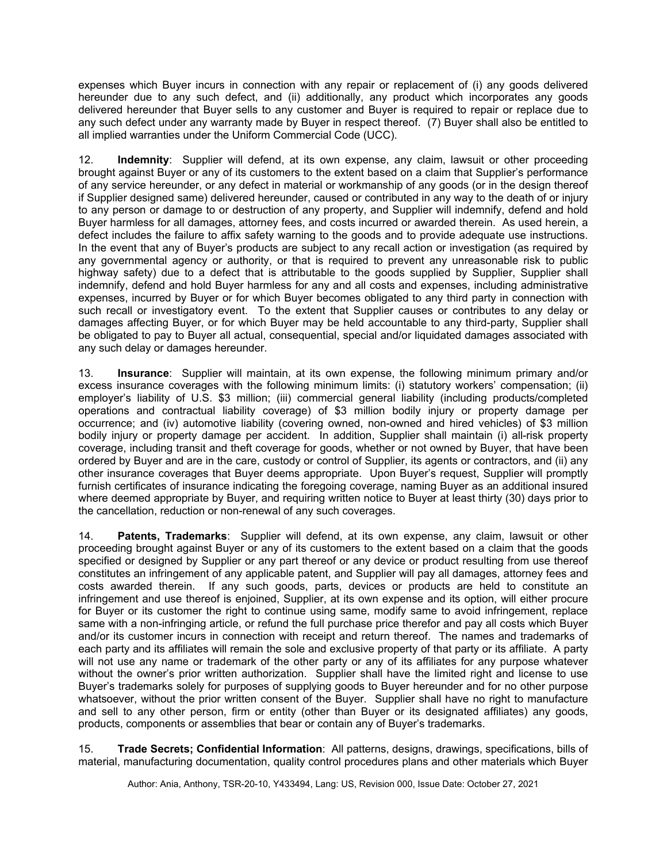expenses which Buyer incurs in connection with any repair or replacement of (i) any goods delivered hereunder due to any such defect, and (ii) additionally, any product which incorporates any goods delivered hereunder that Buyer sells to any customer and Buyer is required to repair or replace due to any such defect under any warranty made by Buyer in respect thereof. (7) Buyer shall also be entitled to all implied warranties under the Uniform Commercial Code (UCC).

12. **Indemnity**: Supplier will defend, at its own expense, any claim, lawsuit or other proceeding brought against Buyer or any of its customers to the extent based on a claim that Supplier's performance of any service hereunder, or any defect in material or workmanship of any goods (or in the design thereof if Supplier designed same) delivered hereunder, caused or contributed in any way to the death of or injury to any person or damage to or destruction of any property, and Supplier will indemnify, defend and hold Buyer harmless for all damages, attorney fees, and costs incurred or awarded therein. As used herein, a defect includes the failure to affix safety warning to the goods and to provide adequate use instructions. In the event that any of Buyer's products are subject to any recall action or investigation (as required by any governmental agency or authority, or that is required to prevent any unreasonable risk to public highway safety) due to a defect that is attributable to the goods supplied by Supplier, Supplier shall indemnify, defend and hold Buyer harmless for any and all costs and expenses, including administrative expenses, incurred by Buyer or for which Buyer becomes obligated to any third party in connection with such recall or investigatory event. To the extent that Supplier causes or contributes to any delay or damages affecting Buyer, or for which Buyer may be held accountable to any third-party, Supplier shall be obligated to pay to Buyer all actual, consequential, special and/or liquidated damages associated with any such delay or damages hereunder.

13. **Insurance**: Supplier will maintain, at its own expense, the following minimum primary and/or excess insurance coverages with the following minimum limits: (i) statutory workers' compensation; (ii) employer's liability of U.S. \$3 million; (iii) commercial general liability (including products/completed operations and contractual liability coverage) of \$3 million bodily injury or property damage per occurrence; and (iv) automotive liability (covering owned, non-owned and hired vehicles) of \$3 million bodily injury or property damage per accident. In addition, Supplier shall maintain (i) all-risk property coverage, including transit and theft coverage for goods, whether or not owned by Buyer, that have been ordered by Buyer and are in the care, custody or control of Supplier, its agents or contractors, and (ii) any other insurance coverages that Buyer deems appropriate. Upon Buyer's request, Supplier will promptly furnish certificates of insurance indicating the foregoing coverage, naming Buyer as an additional insured where deemed appropriate by Buyer, and requiring written notice to Buyer at least thirty (30) days prior to the cancellation, reduction or non-renewal of any such coverages.

14. **Patents, Trademarks**: Supplier will defend, at its own expense, any claim, lawsuit or other proceeding brought against Buyer or any of its customers to the extent based on a claim that the goods specified or designed by Supplier or any part thereof or any device or product resulting from use thereof constitutes an infringement of any applicable patent, and Supplier will pay all damages, attorney fees and costs awarded therein. If any such goods, parts, devices or products are held to constitute an infringement and use thereof is enjoined, Supplier, at its own expense and its option, will either procure for Buyer or its customer the right to continue using same, modify same to avoid infringement, replace same with a non-infringing article, or refund the full purchase price therefor and pay all costs which Buyer and/or its customer incurs in connection with receipt and return thereof. The names and trademarks of each party and its affiliates will remain the sole and exclusive property of that party or its affiliate. A party will not use any name or trademark of the other party or any of its affiliates for any purpose whatever without the owner's prior written authorization. Supplier shall have the limited right and license to use Buyer's trademarks solely for purposes of supplying goods to Buyer hereunder and for no other purpose whatsoever, without the prior written consent of the Buyer. Supplier shall have no right to manufacture and sell to any other person, firm or entity (other than Buyer or its designated affiliates) any goods, products, components or assemblies that bear or contain any of Buyer's trademarks.

15. **Trade Secrets; Confidential Information**: All patterns, designs, drawings, specifications, bills of material, manufacturing documentation, quality control procedures plans and other materials which Buyer

Author: Ania, Anthony, TSR-20-10, Y433494, Lang: US, Revision 000, Issue Date: October 27, 2021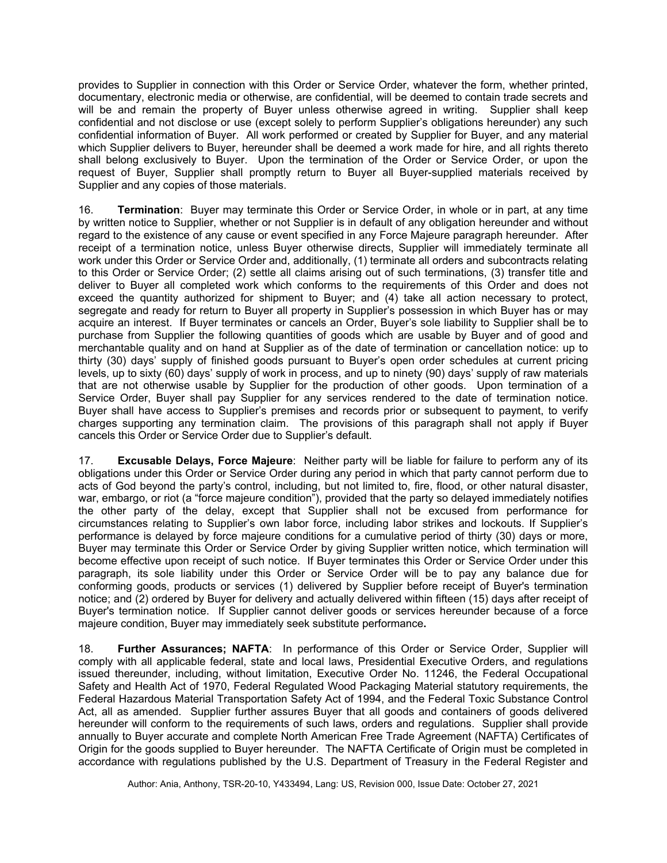provides to Supplier in connection with this Order or Service Order, whatever the form, whether printed, documentary, electronic media or otherwise, are confidential, will be deemed to contain trade secrets and will be and remain the property of Buyer unless otherwise agreed in writing. Supplier shall keep confidential and not disclose or use (except solely to perform Supplier's obligations hereunder) any such confidential information of Buyer. All work performed or created by Supplier for Buyer, and any material which Supplier delivers to Buyer, hereunder shall be deemed a work made for hire, and all rights thereto shall belong exclusively to Buyer. Upon the termination of the Order or Service Order, or upon the request of Buyer, Supplier shall promptly return to Buyer all Buyer-supplied materials received by Supplier and any copies of those materials.

16. **Termination**: Buyer may terminate this Order or Service Order, in whole or in part, at any time by written notice to Supplier, whether or not Supplier is in default of any obligation hereunder and without regard to the existence of any cause or event specified in any Force Majeure paragraph hereunder. After receipt of a termination notice, unless Buyer otherwise directs, Supplier will immediately terminate all work under this Order or Service Order and, additionally, (1) terminate all orders and subcontracts relating to this Order or Service Order; (2) settle all claims arising out of such terminations, (3) transfer title and deliver to Buyer all completed work which conforms to the requirements of this Order and does not exceed the quantity authorized for shipment to Buyer; and (4) take all action necessary to protect, segregate and ready for return to Buyer all property in Supplier's possession in which Buyer has or may acquire an interest. If Buyer terminates or cancels an Order, Buyer's sole liability to Supplier shall be to purchase from Supplier the following quantities of goods which are usable by Buyer and of good and merchantable quality and on hand at Supplier as of the date of termination or cancellation notice: up to thirty (30) days' supply of finished goods pursuant to Buyer's open order schedules at current pricing levels, up to sixty (60) days' supply of work in process, and up to ninety (90) days' supply of raw materials that are not otherwise usable by Supplier for the production of other goods. Upon termination of a Service Order, Buyer shall pay Supplier for any services rendered to the date of termination notice. Buyer shall have access to Supplier's premises and records prior or subsequent to payment, to verify charges supporting any termination claim. The provisions of this paragraph shall not apply if Buyer cancels this Order or Service Order due to Supplier's default.

17. **Excusable Delays, Force Majeure**: Neither party will be liable for failure to perform any of its obligations under this Order or Service Order during any period in which that party cannot perform due to acts of God beyond the party's control, including, but not limited to, fire, flood, or other natural disaster, war, embargo, or riot (a "force majeure condition"), provided that the party so delayed immediately notifies the other party of the delay, except that Supplier shall not be excused from performance for circumstances relating to Supplier's own labor force, including labor strikes and lockouts. If Supplier's performance is delayed by force majeure conditions for a cumulative period of thirty (30) days or more, Buyer may terminate this Order or Service Order by giving Supplier written notice, which termination will become effective upon receipt of such notice. If Buyer terminates this Order or Service Order under this paragraph, its sole liability under this Order or Service Order will be to pay any balance due for conforming goods, products or services (1) delivered by Supplier before receipt of Buyer's termination notice; and (2) ordered by Buyer for delivery and actually delivered within fifteen (15) days after receipt of Buyer's termination notice. If Supplier cannot deliver goods or services hereunder because of a force majeure condition, Buyer may immediately seek substitute performance**.** 

18. **Further Assurances; NAFTA**: In performance of this Order or Service Order, Supplier will comply with all applicable federal, state and local laws, Presidential Executive Orders, and regulations issued thereunder, including, without limitation, Executive Order No. 11246, the Federal Occupational Safety and Health Act of 1970, Federal Regulated Wood Packaging Material statutory requirements, the Federal Hazardous Material Transportation Safety Act of 1994, and the Federal Toxic Substance Control Act, all as amended. Supplier further assures Buyer that all goods and containers of goods delivered hereunder will conform to the requirements of such laws, orders and regulations. Supplier shall provide annually to Buyer accurate and complete North American Free Trade Agreement (NAFTA) Certificates of Origin for the goods supplied to Buyer hereunder. The NAFTA Certificate of Origin must be completed in accordance with regulations published by the U.S. Department of Treasury in the Federal Register and